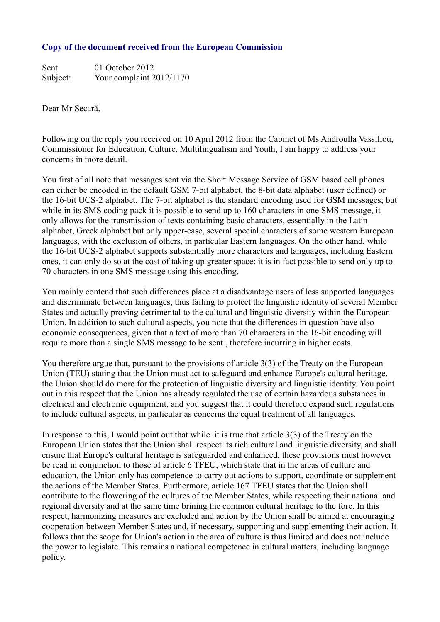## **Copy of the document received from the European Commission**

Sent: 01 October 2012 Subject: Your complaint 2012/1170

Dear Mr Secară,

Following on the reply you received on 10 April 2012 from the Cabinet of Ms Androulla Vassiliou, Commissioner for Education, Culture, Multilingualism and Youth, I am happy to address your concerns in more detail.

You first of all note that messages sent via the Short Message Service of GSM based cell phones can either be encoded in the default GSM 7-bit alphabet, the 8-bit data alphabet (user defined) or the 16-bit UCS-2 alphabet. The 7-bit alphabet is the standard encoding used for GSM messages; but while in its SMS coding pack it is possible to send up to 160 characters in one SMS message, it only allows for the transmission of texts containing basic characters, essentially in the Latin alphabet, Greek alphabet but only upper-case, several special characters of some western European languages, with the exclusion of others, in particular Eastern languages. On the other hand, while the 16-bit UCS-2 alphabet supports substantially more characters and languages, including Eastern ones, it can only do so at the cost of taking up greater space: it is in fact possible to send only up to 70 characters in one SMS message using this encoding.

You mainly contend that such differences place at a disadvantage users of less supported languages and discriminate between languages, thus failing to protect the linguistic identity of several Member States and actually proving detrimental to the cultural and linguistic diversity within the European Union. In addition to such cultural aspects, you note that the differences in question have also economic consequences, given that a text of more than 70 characters in the 16-bit encoding will require more than a single SMS message to be sent , therefore incurring in higher costs.

You therefore argue that, pursuant to the provisions of article 3(3) of the Treaty on the European Union (TEU) stating that the Union must act to safeguard and enhance Europe's cultural heritage, the Union should do more for the protection of linguistic diversity and linguistic identity. You point out in this respect that the Union has already regulated the use of certain hazardous substances in electrical and electronic equipment, and you suggest that it could therefore expand such regulations to include cultural aspects, in particular as concerns the equal treatment of all languages.

In response to this, I would point out that while it is true that article 3(3) of the Treaty on the European Union states that the Union shall respect its rich cultural and linguistic diversity, and shall ensure that Europe's cultural heritage is safeguarded and enhanced, these provisions must however be read in conjunction to those of article 6 TFEU, which state that in the areas of culture and education, the Union only has competence to carry out actions to support, coordinate or supplement the actions of the Member States. Furthermore, article 167 TFEU states that the Union shall contribute to the flowering of the cultures of the Member States, while respecting their national and regional diversity and at the same time brining the common cultural heritage to the fore. In this respect, harmonizing measures are excluded and action by the Union shall be aimed at encouraging cooperation between Member States and, if necessary, supporting and supplementing their action. It follows that the scope for Union's action in the area of culture is thus limited and does not include the power to legislate. This remains a national competence in cultural matters, including language policy.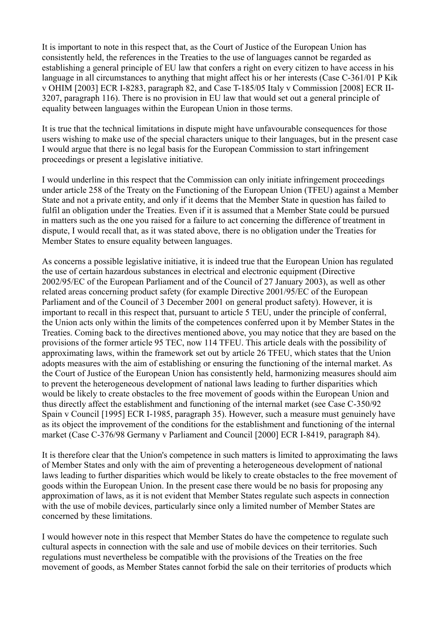It is important to note in this respect that, as the Court of Justice of the European Union has consistently held, the references in the Treaties to the use of languages cannot be regarded as establishing a general principle of EU law that confers a right on every citizen to have access in his language in all circumstances to anything that might affect his or her interests (Case C-361/01 P Kik v OHIM [2003] ECR I-8283, paragraph 82, and Case T-185/05 Italy v Commission [2008] ECR II-3207, paragraph 116). There is no provision in EU law that would set out a general principle of equality between languages within the European Union in those terms.

It is true that the technical limitations in dispute might have unfavourable consequences for those users wishing to make use of the special characters unique to their languages, but in the present case I would argue that there is no legal basis for the European Commission to start infringement proceedings or present a legislative initiative.

I would underline in this respect that the Commission can only initiate infringement proceedings under article 258 of the Treaty on the Functioning of the European Union (TFEU) against a Member State and not a private entity, and only if it deems that the Member State in question has failed to fulfil an obligation under the Treaties. Even if it is assumed that a Member State could be pursued in matters such as the one you raised for a failure to act concerning the difference of treatment in dispute, I would recall that, as it was stated above, there is no obligation under the Treaties for Member States to ensure equality between languages.

As concerns a possible legislative initiative, it is indeed true that the European Union has regulated the use of certain hazardous substances in electrical and electronic equipment (Directive 2002/95/EC of the European Parliament and of the Council of 27 January 2003), as well as other related areas concerning product safety (for example Directive 2001/95/EC of the European Parliament and of the Council of 3 December 2001 on general product safety). However, it is important to recall in this respect that, pursuant to article 5 TEU, under the principle of conferral, the Union acts only within the limits of the competences conferred upon it by Member States in the Treaties. Coming back to the directives mentioned above, you may notice that they are based on the provisions of the former article 95 TEC, now 114 TFEU. This article deals with the possibility of approximating laws, within the framework set out by article 26 TFEU, which states that the Union adopts measures with the aim of establishing or ensuring the functioning of the internal market. As the Court of Justice of the European Union has consistently held, harmonizing measures should aim to prevent the heterogeneous development of national laws leading to further disparities which would be likely to create obstacles to the free movement of goods within the European Union and thus directly affect the establishment and functioning of the internal market (see Case C-350/92 Spain v Council [1995] ECR I-1985, paragraph 35). However, such a measure must genuinely have as its object the improvement of the conditions for the establishment and functioning of the internal market (Case C-376/98 Germany v Parliament and Council [2000] ECR I-8419, paragraph 84).

It is therefore clear that the Union's competence in such matters is limited to approximating the laws of Member States and only with the aim of preventing a heterogeneous development of national laws leading to further disparities which would be likely to create obstacles to the free movement of goods within the European Union. In the present case there would be no basis for proposing any approximation of laws, as it is not evident that Member States regulate such aspects in connection with the use of mobile devices, particularly since only a limited number of Member States are concerned by these limitations.

I would however note in this respect that Member States do have the competence to regulate such cultural aspects in connection with the sale and use of mobile devices on their territories. Such regulations must nevertheless be compatible with the provisions of the Treaties on the free movement of goods, as Member States cannot forbid the sale on their territories of products which